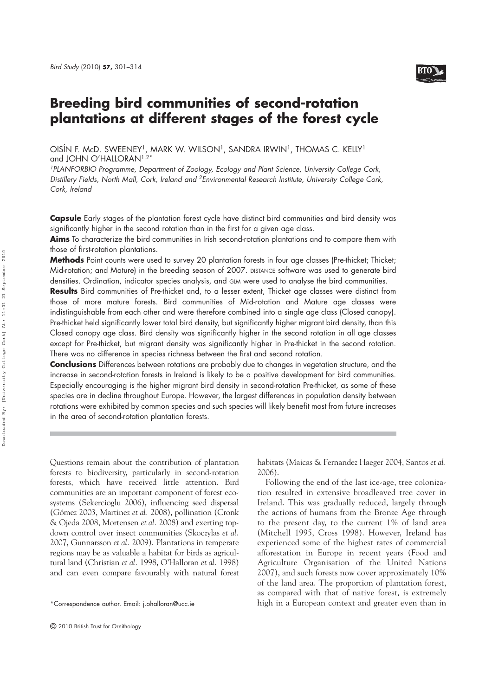

# **Breeding bird communities of second-rotation plantations at different stages of the forest cycle**

OISÍN F. McD. SWEENEY1, MARK W. WILSON1, SANDRA IRWIN1, THOMAS C. KELLY1 and JOHN O'HALLORAN<sup>1,2</sup>

<sup>1</sup>PLANFORBIO Programme, Department of Zoology, Ecology and Plant Science, University College Cork, Distillery Fields, North Mall, Cork, Ireland and <sup>2</sup>Environmental Research Institute, University College Cork, Cork, Ireland

**Capsule** Early stages of the plantation forest cycle have distinct bird communities and bird density was significantly higher in the second rotation than in the first for a given age class.

Aims To characterize the bird communities in Irish second-rotation plantations and to compare them with those of first-rotation plantations.

**Methods** Point counts were used to survey 20 plantation forests in four age classes (Pre-thicket; Thicket; Mid-rotation; and Mature) in the breeding season of 2007. DISTANCE software was used to generate bird densities. Ordination, indicator species analysis, and GLM were used to analyse the bird communities.

**Results** Bird communities of Pre-thicket and, to a lesser extent, Thicket age classes were distinct from those of more mature forests. Bird communities of Mid-rotation and Mature age classes were indistinguishable from each other and were therefore combined into a single age class (Closed canopy). Pre-thicket held significantly lower total bird density, but significantly higher migrant bird density, than this Closed canopy age class. Bird density was significantly higher in the second rotation in all age classes except for Pre-thicket, but migrant density was significantly higher in Pre-thicket in the second rotation. There was no difference in species richness between the first and second rotation.

**Conclusions** Differences between rotations are probably due to changes in vegetation structure, and the increase in second-rotation forests in Ireland is likely to be a positive development for bird communities. Especially encouraging is the higher migrant bird density in second-rotation Pre-thicket, as some of these species are in decline throughout Europe. However, the largest differences in population density between rotations were exhibited by common species and such species will likely benefit most from future increases in the area of second-rotation plantation forests.

Questions remain about the contribution of plantation forests to biodiversity, particularly in second-rotation forests, which have received little attention. Bird communities are an important component of forest ecosystems (Sekercioglu 2006), influencing seed dispersal (Gómez 2003, Martinez *et al.* 2008), pollination (Cronk & Ojeda 2008, Mortensen *et al.* 2008) and exerting topdown control over insect communities (Skoczylas *et al.* 2007, Gunnarsson *et al.* 2009). Plantations in temperate regions may be as valuable a habitat for birds as agricultural land (Christian *et al.* 1998, O'Halloran *et al.* 1998) and can even compare favourably with natural forest

habitats (Maicas & Fernandez Haeger 2004, Santos *et al.* 2006).

Following the end of the last ice-age, tree colonization resulted in extensive broadleaved tree cover in Ireland. This was gradually reduced, largely through the actions of humans from the Bronze Age through to the present day, to the current 1% of land area (Mitchell 1995, Cross 1998). However, Ireland has experienced some of the highest rates of commercial afforestation in Europe in recent years (Food and Agriculture Organisation of the United Nations 2007), and such forests now cover approximately 10% of the land area. The proportion of plantation forest, as compared with that of native forest, is extremely \*Correspondence author. Email: j.ohalloran@ucc.ie high in a European context and greater even than in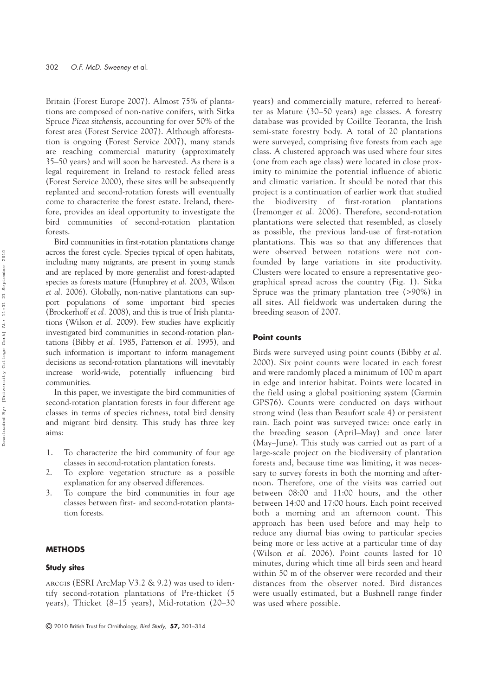Britain (Forest Europe 2007). Almost 75% of plantations are composed of non-native conifers, with Sitka Spruce *Picea sitchensis*, accounting for over 50% of the forest area (Forest Service 2007). Although afforestation is ongoing (Forest Service 2007), many stands are reaching commercial maturity (approximately 35–50 years) and will soon be harvested. As there is a legal requirement in Ireland to restock felled areas (Forest Service 2000), these sites will be subsequently replanted and second-rotation forests will eventually come to characterize the forest estate. Ireland, therefore, provides an ideal opportunity to investigate the bird communities of second-rotation plantation forests.

Bird communities in first-rotation plantations change across the forest cycle. Species typical of open habitats, including many migrants, are present in young stands and are replaced by more generalist and forest-adapted species as forests mature (Humphrey *et al.* 2003, Wilson *et al.* 2006). Globally, non-native plantations can support populations of some important bird species (Brockerhoff *et al.* 2008), and this is true of Irish plantations (Wilson *et al.* 2009). Few studies have explicitly investigated bird communities in second-rotation plantations (Bibby *et al.* 1985, Patterson *et al.* 1995), and such information is important to inform management decisions as second-rotation plantations will inevitably increase world-wide, potentially influencing bird communities.

In this paper, we investigate the bird communities of second-rotation plantation forests in four different age classes in terms of species richness, total bird density and migrant bird density. This study has three key aims:

- 1. To characterize the bird community of four age classes in second-rotation plantation forests.
- 2. To explore vegetation structure as a possible explanation for any observed differences.
- 3. To compare the bird communities in four age classes between first- and second-rotation plantation forests.

### **METHODS**

## **Study sites**

arcgis (ESRI ArcMap V3.2 & 9.2) was used to identify second-rotation plantations of Pre-thicket (5 years), Thicket (8–15 years), Mid-rotation (20–30 years) and commercially mature, referred to hereafter as Mature (30–50 years) age classes. A forestry database was provided by Coillte Teoranta, the Irish semi-state forestry body. A total of 20 plantations were surveyed, comprising five forests from each age class. A clustered approach was used where four sites (one from each age class) were located in close proximity to minimize the potential influence of abiotic and climatic variation. It should be noted that this project is a continuation of earlier work that studied the biodiversity of first-rotation plantations (Iremonger *et al.* 2006). Therefore, second-rotation plantations were selected that resembled, as closely as possible, the previous land-use of first-rotation plantations. This was so that any differences that were observed between rotations were not confounded by large variations in site productivity. Clusters were located to ensure a representative geographical spread across the country (Fig. 1). Sitka Spruce was the primary plantation tree (>90%) in all sites. All fieldwork was undertaken during the breeding season of 2007.

#### **Point counts**

Birds were surveyed using point counts (Bibby *et al.* 2000). Six point counts were located in each forest and were randomly placed a minimum of 100 m apart in edge and interior habitat. Points were located in the field using a global positioning system (Garmin GPS76). Counts were conducted on days without strong wind (less than Beaufort scale 4) or persistent rain. Each point was surveyed twice: once early in the breeding season (April–May) and once later (May–June). This study was carried out as part of a large-scale project on the biodiversity of plantation forests and, because time was limiting, it was necessary to survey forests in both the morning and afternoon. Therefore, one of the visits was carried out between 08:00 and 11:00 hours, and the other between 14:00 and 17:00 hours. Each point received both a morning and an afternoon count. This approach has been used before and may help to reduce any diurnal bias owing to particular species being more or less active at a particular time of day (Wilson *et al.* 2006). Point counts lasted for 10 minutes, during which time all birds seen and heard within 50 m of the observer were recorded and their distances from the observer noted. Bird distances were usually estimated, but a Bushnell range finder was used where possible.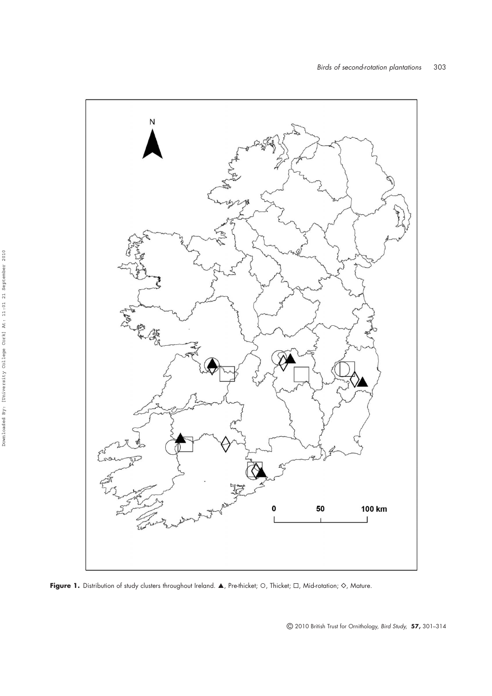

Figure 1. Distribution of study clusters throughout Ireland. ▲, Pre-thicket; O, Thicket; □, Mid-rotation; ◇, Mature.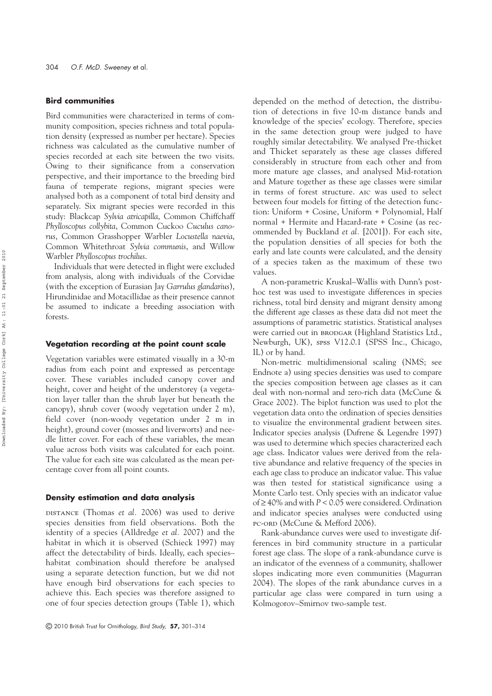# **Bird communities**

Bird communities were characterized in terms of community composition, species richness and total population density (expressed as number per hectare). Species richness was calculated as the cumulative number of species recorded at each site between the two visits. Owing to their significance from a conservation perspective, and their importance to the breeding bird fauna of temperate regions, migrant species were analysed both as a component of total bird density and separately. Six migrant species were recorded in this study: Blackcap *Sylvia atricapilla*, Common Chiffchaff *Phylloscopus collybita*, Common Cuckoo *Cuculus canorus*, Common Grasshopper Warbler *Locustella naevia*, Common Whitethroat *Sylvia communis*, and Willow Warbler *Phylloscopus trochilus*.

Individuals that were detected in flight were excluded from analysis, along with individuals of the Corvidae (with the exception of Eurasian Jay *Garrulus glandarius*), Hirundinidae and Motacillidae as their presence cannot be assumed to indicate a breeding association with forests.

#### **Vegetation recording at the point count scale**

Vegetation variables were estimated visually in a 30-m radius from each point and expressed as percentage cover. These variables included canopy cover and height, cover and height of the understorey (a vegetation layer taller than the shrub layer but beneath the canopy), shrub cover (woody vegetation under 2 m), field cover (non-woody vegetation under 2 m in height), ground cover (mosses and liverworts) and needle litter cover. For each of these variables, the mean value across both visits was calculated for each point. The value for each site was calculated as the mean percentage cover from all point counts.

#### **Density estimation and data analysis**

DISTANCE (Thomas *et al.* 2006) was used to derive species densities from field observations. Both the identity of a species (Alldredge *et al.* 2007) and the habitat in which it is observed (Schieck 1997) may affect the detectability of birds. Ideally, each species– habitat combination should therefore be analysed using a separate detection function, but we did not have enough bird observations for each species to achieve this. Each species was therefore assigned to one of four species detection groups (Table 1 ), which depended on the method of detection, the distribution of detections in five 10-m distance bands and knowledge of the species' ecology. Therefore, species in the same detection group were judged to have roughly similar detectability. We analysed Pre-thicket and Thicket separately as these age classes differed considerably in structure from each other and from more mature age classes, and analysed Mid-rotation and Mature together as these age classes were similar in terms of forest structure. aic was used to select between four models for fitting of the detection function: Uniform + Cosine, Uniform + Polynomial, Half normal + Hermite and Hazard-rate + Cosine (as recommended by Buckland *et al.* [2001]). For each site, the population densities of all species for both the early and late counts were calculated, and the density of a species taken as the maximum of these two values.

A non-parametric Kruskal–Wallis with Dunn's posthoc test was used to investigate differences in species richness, total bird density and migrant density among the different age classes as these data did not meet the assumptions of parametric statistics. Statistical analyses were carried out in BRODGAR (Highland Statistics Ltd., Newburgh, UK), spss V12.0.1 (SPSS Inc., Chicago, IL) or by hand.

Non-metric multidimensional scaling (NMS; see Endnote a) using species densities was used to compare the species composition between age classes as it can deal with non-normal and zero-rich data (McCune & Grace 2002). The biplot function was used to plot the vegetation data onto the ordination of species densities to visualize the environmental gradient between sites. Indicator species analysis (Dufrene & Legendre 1997) was used to determine which species characterized each age class. Indicator values were derived from the relative abundance and relative frequency of the species in each age class to produce an indicator value. This value was then tested for statistical significance using a Monte Carlo test. Only species with an indicator value of  $\geq$  40% and with  $P < 0.05$  were considered. Ordination and indicator species analyses were conducted using pc-ord (McCune & Mefford 2006).

Rank-abundance curves were used to investigate differences in bird community structure in a particular forest age class. The slope of a rank-abundance curve is an indicator of the evenness of a community, shallower slopes indicating more even communities (Magurran 2004). The slopes of the rank abundance curves in a particular age class were compared in turn using a Kolmogorov–Smirnov two-sample test.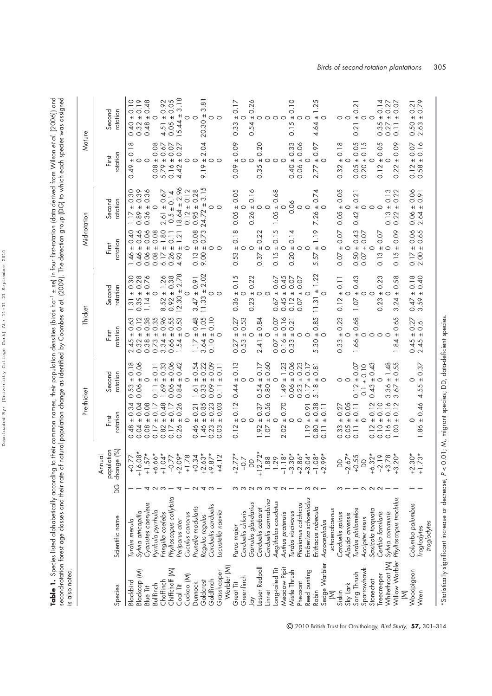|                            |                                     |        |                                             | Pre-thicket                                                     |                                                                                  | Thicket                                         |                                                                                                                        | Mid-rotation                                                        |                                               | Mature                                |                                                       |
|----------------------------|-------------------------------------|--------|---------------------------------------------|-----------------------------------------------------------------|----------------------------------------------------------------------------------|-------------------------------------------------|------------------------------------------------------------------------------------------------------------------------|---------------------------------------------------------------------|-----------------------------------------------|---------------------------------------|-------------------------------------------------------|
| Species                    | Scientific name                     | SG     | je (%)<br>lation<br>Annual<br>chang<br>popu | rotation<br>First                                               | Second<br>rotation                                                               | otation<br>First                                | rotation<br>Second                                                                                                     | otation<br>First                                                    | rotation<br>Second                            | otation<br>First                      | rotation<br>Second                                    |
|                            |                                     |        |                                             |                                                                 |                                                                                  |                                                 |                                                                                                                        |                                                                     |                                               |                                       |                                                       |
| Blackbird                  | Turdus merula                       |        | $\breve{+}$                                 | 34<br>$\circ$<br>$+1$<br>$\frac{8}{4}$<br>$\circ$               | $\infty$<br>$\frac{1}{\circ}$<br>$+1$<br>0.53                                    | 63<br>$\circ$<br>$\pm$<br>45<br>$\sim$          | $\circ$<br>ω.<br>$\circ$<br>$+1$<br>1.31                                                                               | $\theta$<br>ö<br>$\pm$<br>$\frac{4}{6}$<br>$\overline{\phantom{0}}$ | $\pm$<br>$\frac{1}{2}$                        | $^{\circ}$<br>Ö<br>$\frac{6}{7}$<br>ö | $0.19$<br>$0.79$<br>$\pm$<br>0.40                     |
| Blackcap (M)               | Sylvia atricapilla                  |        | $08*$<br>$\frac{6}{1}$                      | $\overline{5}$<br>$\circ$<br>$+1$                               | 0.06<br>$\pm$<br>0.06                                                            | 0.12<br>$+$                                     | $\infty$<br>$\overline{O}$ .2<br>$\ddot{}$<br>0.35                                                                     | 0.46<br>$^{\rm +}$<br>0.46                                          | 0.39<br>$\pm$<br>0.89                         | $+$ $\circ$ $\circ$                   | $\ddot{}$<br>0.32                                     |
| Blue Tit                   | Cyanistes caeruleus                 |        | $57*$<br>$\overline{+}$                     | 0.08<br>$\overline{+}$                                          |                                                                                  | 0.38<br>$\overline{+}$                          | ∘<br>$\sum_{i=1}^{n}$<br>$\circ$<br>$\ddot{}$<br>1.14                                                                  | 0.06<br>$\ddot{}$<br>0.06                                           | 36<br>$\circ$<br>$+1$<br>36<br>Ö              |                                       | $\infty$<br>$rac{4}{3}$<br>$\ddot{}$<br>48<br>$\circ$ |
| <b>Bullfinch</b>           | Pyrrhula pyrrhula                   |        | 66*<br>$\frac{1}{2}$                        | 0.17<br>$\pm$<br>385<br>385                                     | $\overline{0}$ . 1<br>$+$<br>$\overline{0.11}$                                   | 0.35<br>$+$<br>0.38<br>0.38<br>0.73             |                                                                                                                        | 0.08<br>$+1$<br>0.08                                                | 0                                             | $\infty$<br>ö<br>$+1$<br>0.08         |                                                       |
| Chaffinch                  | Fringilla coelebs                   |        | $\overline{a}^*$<br>$\overline{a}$          | 0.48<br>$\pm$                                                   | 0.33<br>$\ddot{}$<br>1.69                                                        | 0.96<br>$\pm$<br>3.34                           | 1.26<br>$+1$<br>8.52                                                                                                   | 1.80<br>$\pm$<br>6.17                                               | $2.61 \pm 0.67$                               | 0.67<br>$\ddot{+}$<br>5.79            | 0.92<br>$+1$<br>4.51                                  |
| Chiffchaff (M)             | Phylloscopus collybita              |        | ု                                           | 0.17<br>$+$<br>$0.82$<br>0.026                                  | 0.06<br>$\ddot{}$<br>0.06                                                        | 0.55<br>$\ddot{}$<br>0.66                       | 0.38<br>$+1$<br>0.92                                                                                                   | $\equiv$<br>$\circ$<br>$\ddot{}$<br>0.26                            | $0.5 \pm 0.14$                                | 0.07<br>$\overline{+}$<br>0.16        | 0.05<br>$\ddot{}$<br>0.05                             |
| Coal Tit                   | Periparus ater                      | 4      | $\infty^*$<br>$\ddot{z}$                    | 26<br>$\circ$<br>$+$                                            | 0.42<br>$+1$<br>0.84                                                             | 0.53<br>$+$<br>54<br>$\overline{ }$             | 78<br>$.30 \pm 2.1$<br>$\bar{\mathbf{2}}$                                                                              | $\overline{2}$<br>$+$<br>$\overline{0}$<br>$\overline{4}$           | $18.64 \pm 2.96$                              | 0.27<br>$\ddot{+}$<br>4.42            | $\frac{8}{18}$<br>$\dot{\gamma}$<br>$15.44 \pm$       |
| Cuckoo (M)                 | Cuculus canorus                     |        | $\overline{78}$<br>$\overline{+}$           |                                                                 |                                                                                  | $\circ$                                         |                                                                                                                        | $\circ$                                                             | $0.12 \pm 0.12$<br>$0.95 \pm 0.28$            | $\circ$                               |                                                       |
| Dunnock                    | Prunella modularis                  |        | $\mathcal{L}$<br>ç                          | $\overline{2}$<br>$\circ$<br>$+$<br>46<br>$\circ$               | 54<br>ö<br>$+1$<br>1.61                                                          | 0.48<br>$+1$<br>$\boldsymbol{\mathop{\sim}}$    | 0.91<br>$\ddot{}$<br>$\overline{47}$<br>က                                                                              | $\infty$<br>ö<br>$+$<br>0.13                                        |                                               |                                       |                                                       |
| Goldcrest                  | Regulus regulus                     | 4      | $63*$<br>$\ddot{z}$                         | 0.85<br>$+1$<br>1.46                                            | 0.22<br>$+1$<br>0.33                                                             | $\frac{1.05}{0.10}$<br>$\pm$<br>3.64            | SO<br>$11.33 \pm 2$                                                                                                    | $\tilde{\mathcal{L}}$<br>Ö<br>9.00                                  | ± 3.15<br>24.72                               | $\overline{5}$<br>$\sim$<br>9.19      | $\infty$<br>3<br>$+$<br>SO<br>20.                     |
| Goldfinch                  | Carduelis carduelis                 | S      | $87*$<br>$\ddot{\phi}$                      | 0.23<br>$+1$<br>0.23                                            | 0.09<br>$+1$<br>0.09                                                             | $\circ$<br>$\overline{C}$                       | $\circ$                                                                                                                | $H$ $\circ$ $\circ$                                                 | $\circ$ $\circ$                               | $H$ $\circ$ $\circ$                   | $\circ$                                               |
| Warbler (M)<br>Grasshopper | Locustella naevia                   |        | $\overline{12}$<br>7                        | $\mathcal{S}^{\circ}$<br>$\circ$<br>$+$                         | $\overline{0}$ . $\overline{1}$<br>$+$<br>0.11                                   | $+1$ $\circ$                                    |                                                                                                                        |                                                                     |                                               |                                       |                                                       |
| Great Tit                  | Parus major                         |        | ÷.                                          | 0.12<br>$\pm$<br>0.12                                           | ო<br>$\frac{1}{\circ}$<br>$\pm$<br>0.44                                          | 0.27<br>$\ddot{}$<br>0.27                       | 5<br>$\frac{1}{\circ}$<br>H<br>0.36                                                                                    | 0.18<br>$\pm$<br>0.53                                               | 0.05<br>$\pm$<br>05<br>ö                      | 0.09<br>0.09                          | 0.17<br>$\pm$<br>33<br>$\circ$                        |
| Greenfinch                 | Carduelis chloris                   | က      | Ţ                                           | $\circ$                                                         | $\circ\circ$                                                                     | 0.53<br>$\ddot{}$<br>S<br>5<br>$\circ$          |                                                                                                                        | $\circ$                                                             |                                               | $+$ $\circ$ $\circ$                   |                                                       |
| Jay                        | Garrulus glandarius                 | $\sim$ | ₽                                           |                                                                 |                                                                                  |                                                 | 2<br>2<br>$\circ$<br>$+1$<br>0.23                                                                                      |                                                                     | 0.16<br>$+1$<br>0.26                          |                                       | 0.26<br>$+$<br>0.54                                   |
| Lesser Redpoll             | Carduelis cabaret                   | က      | $72*$<br>$+12$                              | 0.37<br>$\ddot{}$<br>1.92                                       | 0.17<br>$\ddot{}$<br>0.54                                                        | 84<br>ö<br>$+$<br>$\overline{4}$<br>$\sim$      | $\circ\circ$                                                                                                           | 0.22<br>0.37                                                        |                                               | 0.20<br>0.35                          |                                                       |
| Linnet                     | Carduelis cannabina                 | က      | $88$                                        | 56.<br>$\circ$<br>$\ddot{}$<br>1.07                             | 0.60<br>$\ddot{}$<br>0.80                                                        |                                                 |                                                                                                                        | $+1$ $\circ$                                                        | $\circ$                                       | H O O O                               | $\circ$                                               |
| Long-tailed Tit            | Aegithalos caudatus                 |        | 29                                          | $\circ$                                                         | $\circ$                                                                          | 0.07<br>$\ddot{+}$<br>0.07                      | 0.67<br>$+1$<br>0.67                                                                                                   | 0.15<br>$+1$<br>0.15                                                | 69.04<br>1.05                                 |                                       | $\circ$                                               |
| Meadow Pipit               | Anthus pratensis                    |        | $18*$<br>$\mathbf I$                        | 0.70<br>$+1$<br>$\Omega$<br>$\overline{\mathsf{N}}$             | 1.23<br>$+$<br>1.49                                                              | 0.16<br>$\ddot{}$<br>$0.16$<br>0.33             | 0.45<br>$\ddot{}$<br>0.45                                                                                              |                                                                     | 0                                             |                                       |                                                       |
| Mistle Thrush              | Turdus viscivorus                   |        | $30*$<br>ှ                                  | $\circ$                                                         | 0.06<br>$\ddot{}$<br>0.06                                                        | $\overline{2}$<br>$\circ$<br>$+1$               | 0.07<br>$\ddot{}$<br>0.12                                                                                              | 0.14<br>0.20                                                        | 0.06                                          | $\pm 0.33$<br>0.40                    | 0.10<br>$\ddot{}$<br>$-15$<br>$\circ$                 |
| Pheasant                   | Phasianus colchicus                 |        | 86*<br>$^{+2}$                              |                                                                 | 0.23<br>$+1$<br>0.23                                                             | $\circ$                                         | S.<br>$\circ$<br>$+$<br>$\overline{O}$<br>$\circ$                                                                      | $H$ $\circ$ $\circ$                                                 | $\circ$                                       | 60.06<br>0.06                         |                                                       |
| Reed bunting               | Emberiza schoeniclus                |        | $\overline{A}^*$<br>$\frac{1}{2}$           | $\overline{\circ}$<br>$\circ$<br>$\ddot{}$<br>1.19              | 0.17<br>$\overline{+}$<br>$\overline{ }$<br>$\overline{\circ}$                   |                                                 |                                                                                                                        |                                                                     | $\circ$                                       |                                       |                                                       |
| Robin                      | Erithacus rubecula                  |        | $\overline{08}^*$<br>$\overline{1}$         | 0.38<br>$\ddot{}$<br>0.11                                       | $\overline{\circ}$<br>Ö<br>$+1$ $\circ$<br>$\infty$<br>5                         | 85<br>Ö<br>$+1$ $\circ$<br>$\overline{30}$<br>5 | 22<br>$\pm$<br>$\overline{3}$                                                                                          | $\frac{9}{1}$<br>$+1$ $\circ$<br>5.57                               | 0.74<br>$+1$ $\circ$<br>7.26                  | 0.97<br>$+1$ $\circ$<br>2.77          | .25<br>$\pm$<br>4.64                                  |
| Sedge Warbler<br>ξ         | schoenobaenus<br>Acrocephalus       |        | $\infty$<br>$\ddot{z}$                      | $\overline{0}$ .<br>$+$                                         |                                                                                  |                                                 | ◠                                                                                                                      |                                                                     |                                               |                                       |                                                       |
|                            |                                     |        |                                             | 33                                                              |                                                                                  |                                                 | $\overline{0}$ .<br>$\frac{1}{2}$                                                                                      | $\delta$<br>S.                                                      | 0.05<br>05                                    | 0.32                                  |                                                       |
| Sky Lark<br>Siskin         | Carduelis spinus<br>Alauda arvensis | ო      | $67*$<br>Ō<br>$\tilde{a}$                   | 0.27<br>0.05<br>$\ddot{}$<br>$\pm$<br>0.5<br>$\circ$<br>$\circ$ | 00                                                                               | 0.23<br>$\pm$<br>0.33                           | $\pm$<br>0                                                                                                             | ö<br>$+1$ $\circ$<br>Ö                                              | $\pm$<br>ö                                    | 0.18<br>$+1$ $\circ$                  | 0                                                     |
| Song Thrush                | Turdus philomelos                   |        | .55<br>င္                                   | $\overline{0}$ . $\overline{1}$<br>$\Xi$<br>$\circ$             | 0.07<br>$+$<br>0.12                                                              | 0.68<br>$\pm$<br>1.66                           | 43<br>ö<br>$\pm$<br>1.07                                                                                               | 0.43<br>$+1$<br>0.50                                                | 0.21<br>$\pm$<br>0.42                         | 0.05<br>$+1$<br>0.05                  | $\sim$<br>ö<br>$\pm$<br>0.21                          |
| Sparrowhawk                | Accipiter nisus                     |        | $\Omega$                                    | $+1$ $\circ$                                                    | $0.1 \pm 0.10$                                                                   | ⌒                                               |                                                                                                                        | 0.07<br>0.07                                                        | $\circ$                                       | 0.15<br>$+1$<br>0.20                  |                                                       |
| Stonechat                  | Saxicola torquata                   |        | $32*$<br>$\frac{1}{2}$                      | 2<br>$\overline{\circ}$<br>$\pm$                                | 0.43<br>$\mathsf{H}% _{T}=\mathsf{H}_{T}\left( \mathcal{M}_{T}\right) ,$<br>0.43 |                                                 |                                                                                                                        | $+1$ $\circ$                                                        |                                               | $\circ$                               | $\circ$                                               |
| Treecreeper                | Certhia familaris                   |        | $\tilde{=}$<br>$\gamma$                     | 0.10<br>$\ddot{}$<br>$\frac{2}{3}$ 10                           | 0                                                                                | $\circ \circ \circ$                             | က<br>$\mathbf{\Omega}$<br>$\circ$<br>$\mathsf{H}% _{T}=\mathsf{H}_{T}\left( \mathcal{M}_{T}\right) ,$<br>23<br>$\circ$ | S<br>ö<br>$+1$<br>0.13                                              | $\circ$                                       | 0.05<br>$+1$<br>0.12                  | 0.14<br>$+$<br>35<br>Ö                                |
| Whitethroat (M)            | Sylvia communis                     |        | ှာ                                          | 0.16<br>$\overline{+}$<br>0.16                                  | $\pm$ 1.48<br>3.36                                                               |                                                 |                                                                                                                        |                                                                     | $\ddot{}$<br>0.13                             | ◠                                     | 0.27<br>$\ddot{}$<br>0.27                             |
| Willow Warbler             | Phylloscopus trochilus              |        | $20*$<br>$\ddot{z}$                         | $\mathbf{\Omega}$<br>$\overline{C}$<br>$+1$<br>$\circ$          | 5<br>$0.\overline{5}$<br>$+1$<br>$\overline{6}$<br>ന                             | 65<br>$\circ$<br>$\pm$<br>1.84                  | $\infty$<br>5<br>Ö<br>$+1$<br>Ņ<br>က                                                                                   | $\infty$<br>Ö<br>$+1$<br>5<br>$\overline{c}$                        | $0.13$<br>$0.22$<br>$+1$<br>22<br>$\circ$     | $\infty$<br>Ö<br>$+$<br>22<br>Ö       | $\circ$<br>$\circ$<br>$\overline{0}$ .                |
| ξ                          |                                     |        |                                             |                                                                 |                                                                                  |                                                 |                                                                                                                        |                                                                     |                                               |                                       |                                                       |
| Woodpigeon                 | Columba palumbus                    |        | $30*$<br>$\ddot{z}$                         | $\circ$                                                         | O                                                                                | 0.27<br>$\overline{+}$<br>0.45<br>2.45          | 0.18<br>$\pm$<br>0.47                                                                                                  | 80<br>ö<br>$\pm$<br>$0.17$<br>2.00                                  | 0.06<br>$\pm$<br>$\delta$<br>ö                | 0.07<br>$+1$<br>0.12                  | $\overline{2}$<br>ö<br>$\pm$<br>50.<br>O N            |
| Wren                       | troglodytes<br>Troglodytes          |        | $73*$<br>$\overline{+}$                     | 0.46<br>$+1$<br>1.86                                            | 0.37<br>$+$<br>5<br>r.<br>4                                                      | 0.61<br>$\ddot{}$                               | 0.40<br>$\ddot{}$<br>59<br>က                                                                                           | 65<br>$\circ$<br>$+1$                                               | 0.91<br>$\ddot{}$<br>$\overline{6}$<br>$\sim$ | 0.16<br>$\ddot{}$<br>0.58             | 0.79<br>$\overline{+}$<br>63                          |

**Table 1.** Species listed alphabetically according to their common names, their population densities (birds ha<sup>-1</sup> ± se) in four first-rotation (data derived from Wilson et al. [2006]) and<br>second-rotation forest age classe **Table 1.** Species listed alphabetically according to their common names, their population densities (birds ha<sup>−1</sup> ± se) in four first-rotation (data derived from Wilson *et al.* [2006]) and second-rotation forest age classes and their rate of natural population change as identified by Coombes et al. (2009). The detection group (DG) to which each species was assigned

Downloaded By: [University College Cork] At: 11:01 21 September 2010

Downloaded By: [University College Cork] At: 11:01 21 September 2010

is also noted.

© 2010 British Trust for Ornithology, Bird Study, **57,** 301–314

\*Statistically significant increase or decrease, P < 0.01; M, migrant species; DD, data-deficient species.

\*Statistically significant increase or decrease, P < 0.01; M, migrant species; DD, data-deficient species.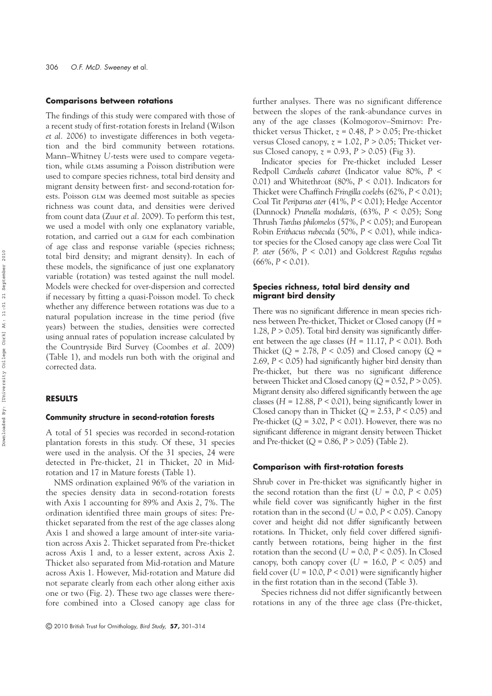#### **Comparisons between rotations**

The findings of this study were compared with those of a recent study of first-rotation forests in Ireland (Wilson *et al.* 2006) to investigate differences in both vegetation and the bird community between rotations. Mann–Whitney *U*-tests were used to compare vegetation, while GLMs assuming a Poisson distribution were used to compare species richness, total bird density and migrant density between first- and second-rotation forests. Poisson glm was deemed most suitable as species richness was count data, and densities were derived from count data (Zuur *et al.* 2009). To perform this test, we used a model with only one explanatory variable, rotation, and carried out a GLM for each combination of age class and response variable (species richness; total bird density; and migrant density). In each of these models, the significance of just one explanatory variable (rotation) was tested against the null model. Models were checked for over-dispersion and corrected if necessary by fitting a quasi-Poisson model. To check whether any difference between rotations was due to a natural population increase in the time period (five years) between the studies, densities were corrected using annual rates of population increase calculated by the Countryside Bird Survey (Coombes *et al.* 2009) (Table 1), and models run both with the original and corrected data.

#### **RESULTS**

#### **Community structure in second-rotation forests**

A total of 51 species was recorded in second-rotation plantation forests in this study. Of these, 31 species were used in the analysis. Of the 31 species, 24 were detected in Pre-thicket, 21 in Thicket, 20 in Midrotation and 17 in Mature forests (Table 1).

NMS ordination explained 96% of the variation in the species density data in second-rotation forests with Axis 1 accounting for 89% and Axis 2, 7%. The ordination identified three main groups of sites: Prethicket separated from the rest of the age classes along Axis 1 and showed a large amount of inter-site variation across Axis 2. Thicket separated from Pre-thicket across Axis 1 and, to a lesser extent, across Axis 2. Thicket also separated from Mid-rotation and Mature across Axis 1. However, Mid-rotation and Mature did not separate clearly from each other along either axis one or two (Fig. 2 ). These two age classes were therefore combined into a Closed canopy age class for further analyses. There was no significant difference between the slopes of the rank-abundance curves in any of the age classes (Kolmogorov–Smirnov: Prethicket versus Thicket,  $\zeta = 0.48$ ,  $P > 0.05$ ; Pre-thicket versus Closed canopy,  $\zeta = 1.02$ ,  $P > 0.05$ ; Thicket versus Closed canopy,  $z = 0.93$ ,  $P > 0.05$ ) (Fig 3).

Indicator species for Pre-thicket included Lesser Redpoll *Carduelis cabaret* (Indicator value 80%, *P* < 0.01) and Whitethroat (80%, *P* < 0.01). Indicators for Thicket were Chaffinch *Fringilla coelebs* (62%, *P* < 0.01); Coal Tit *Periparus ater* (41%, *P* < 0.01); Hedge Accentor (Dunnock) *Prunella modularis*, (63%, *P* < 0.05); Song Thrush *Turdus philomelos* (57%, *P* < 0.05); and European Robin *Erithacus rubecula* (50%, *P* < 0.01), while indicator species for the Closed canopy age class were Coal Tit *P. ater* (56%, *P* < 0.01) and Goldcrest *Regulus regulus*  $(66\%, P < 0.01)$ .

## **Species richness, total bird density and migrant bird density**

There was no significant difference in mean species richness between Pre-thicket, Thicket or Closed canopy (*H* = 1.28, *P* > 0.05). Total bird density was significantly different between the age classes  $(H = 11.17, P < 0.01)$ . Both Thicket ( $Q = 2.78$ ,  $P < 0.05$ ) and Closed canopy ( $Q =$ 2.69, *P* < 0.05) had significantly higher bird density than Pre-thicket, but there was no significant difference between Thicket and Closed canopy  $(Q = 0.52, P > 0.05)$ . Migrant density also differed significantly between the age classes  $(H = 12.88, P < 0.01)$ , being significantly lower in Closed canopy than in Thicket ( $Q = 2.53$ ,  $P < 0.05$ ) and Pre-thicket ( $Q = 3.02$ ,  $P < 0.01$ ). However, there was no significant difference in migrant density between Thicket and Pre-thicket ( $Q = 0.86$ ,  $P > 0.05$ ) (Table 2).

#### **Comparison with first-rotation forests**

Shrub cover in Pre-thicket was significantly higher in the second rotation than the first  $(U = 0.0, P < 0.05)$ while field cover was significantly higher in the first rotation than in the second  $(U = 0.0, P < 0.05)$ . Canopy cover and height did not differ significantly between rotations. In Thicket, only field cover differed significantly between rotations, being higher in the first rotation than the second ( $U = 0.0$ ,  $P < 0.05$ ). In Closed canopy, both canopy cover  $(U = 16.0, P < 0.05)$  and field cover  $(U = 10.0, P < 0.01)$  were significantly higher in the first rotation than in the second (Table 3).

Species richness did not differ significantly between rotations in any of the three age class (Pre-thicket,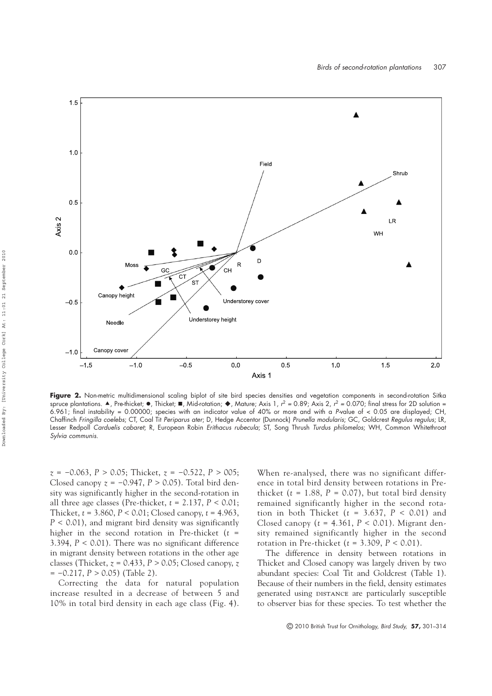

Figure 2. Non-metric multidimensional scaling biplot of site bird species densities and vegetation components in second-rotation Sitka spruce plantations. A, Pre-thicket;  $\bullet$ , Thicket;  $\blacksquare$ , Mid-rotation;  $\bullet$ , Mature; Axis 1,  $r^2 = 0.89$ ; Axis 2,  $r^2 = 0.070$ ; final stress for 2D solution = 6.961; final instability = 0.00000; species with an indicator value of 40% or more and with a P-value of < 0.05 are displayed; CH, Chaffinch Fringilla coelebs; CT, Coal Tit Periparus ater; D, Hedge Accentor (Dunnock) Prunella modularis; GC, Goldcrest Regulus regulus; LR, Lesser Redpoll Carduelis cabaret; R, European Robin Erithacus rubecula; ST, Song Thrush Turdus philomelos; WH, Common Whitethroat Sylvia communis.

*z* = −0.063, *P* > 0.05; Thicket, *z* = −0.522, *P* > 005; Closed canopy *z* = −0.947, *P* > 0.05). Total bird density was significantly higher in the second-rotation in all three age classes (Pre-thicket, *t* = 2.137, *P* < 0.01; Thicket, *t* = 3.860, *P* < 0.01; Closed canopy, *t* = 4.963, *P* < 0.01), and migrant bird density was significantly higher in the second rotation in Pre-thicket  $(t =$ 3.394, *P* < 0.01). There was no significant difference in migrant density between rotations in the other age classes (Thicket, *z* = 0.433, *P* > 0.05; Closed canopy, *z* = −0.217, *P* > 0.05) (Table 2 ).

Correcting the data for natural population increase resulted in a decrease of between 5 and 10% in total bird density in each age class (Fig. 4 ). When re-analysed, there was no significant difference in total bird density between rotations in Prethicket ( $t = 1.88$ ,  $P = 0.07$ ), but total bird density remained significantly higher in the second rotation in both Thicket  $(t = 3.637, P < 0.01)$  and Closed canopy ( $t = 4.361$ ,  $P < 0.01$ ). Migrant density remained significantly higher in the second rotation in Pre-thicket ( $t = 3.309$ ,  $P < 0.01$ ).

The difference in density between rotations in Thicket and Closed canopy was largely driven by two abundant species: Coal Tit and Goldcrest (Table 1). Because of their numbers in the field, density estimates generated using DISTANCE are particularly susceptible to observer bias for these species. To test whether the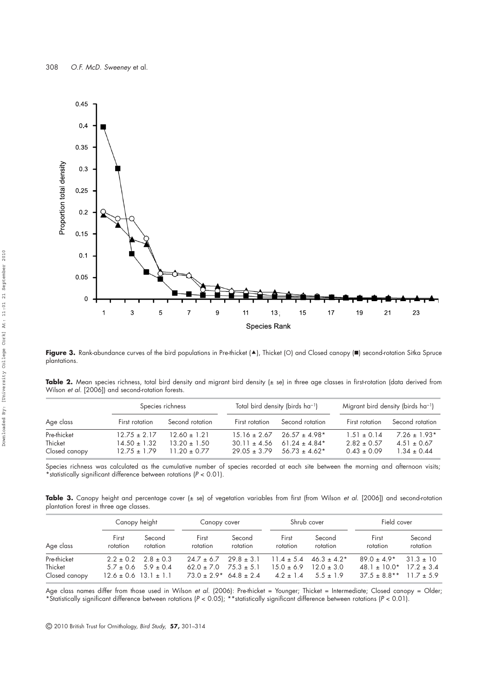

Figure 3. Rank-abundance curves of the bird populations in Pre-thicket (A), Thicket (O) and Closed canopy (**=**) second-rotation Sitka Spruce plantations.

Table 2. Mean species richness, total bird density and migrant bird density (± se) in three age classes in first-rotation (data derived from Wilson et al. [2006]) and second-rotation forests.

|                                         |                                                          | Species richness                                         |                                                          | Total bird density (birds $ha^{-1}$ )                        | Migrant bird density (birds $ha^{-1}$ )               |                                                        |  |
|-----------------------------------------|----------------------------------------------------------|----------------------------------------------------------|----------------------------------------------------------|--------------------------------------------------------------|-------------------------------------------------------|--------------------------------------------------------|--|
| Age class                               | First rotation                                           | Second rotation                                          | First rotation                                           | Second rotation                                              | First rotation                                        | Second rotation                                        |  |
| Pre-thicket<br>Thicket<br>Closed canopy | $12.75 \pm 2.17$<br>$14.50 \pm 1.32$<br>$12.75 \pm 1.79$ | $12.60 \pm 1.21$<br>$13.20 \pm 1.50$<br>$11.20 \pm 0.77$ | $15.16 \pm 2.67$<br>$30.11 \pm 4.56$<br>$29.05 \pm 3.79$ | $26.57 \pm 4.98*$<br>$61.24 \pm 4.84*$<br>$56.73 \pm 4.62^*$ | $1.51 \pm 0.14$<br>$2.82 \pm 0.57$<br>$0.43 \pm 0.09$ | $7.26 \pm 1.93*$<br>$4.51 \pm 0.67$<br>$1.34 \pm 0.44$ |  |

Species richness was calculated as the cumulative number of species recorded at each site between the morning and afternoon visits; \*statistically significant difference between rotations  $(P < 0.01)$ .

Table 3. Canopy height and percentage cover (± se) of vegetation variables from first (from Wilson et al. [2006]) and second-rotation plantation forest in three age classes.

|                                         |                                                                 | Canopy height                  |                                                                 | Canopy cover                     |                                               | Shrub cover                                  |                                                        | Field cover                                 |  |
|-----------------------------------------|-----------------------------------------------------------------|--------------------------------|-----------------------------------------------------------------|----------------------------------|-----------------------------------------------|----------------------------------------------|--------------------------------------------------------|---------------------------------------------|--|
| Age class                               | First<br>rotation                                               | Second<br>rotation             | First<br>rotation                                               | Second<br>rotation               | First<br>rotation                             | Second<br>rotation                           | First<br>rotation                                      | Second<br>rotation                          |  |
| Pre-thicket<br>Thicket<br>Closed canopy | $2.2 \pm 0.2$<br>$5.7 \pm 0.6$<br>$12.6 \pm 0.6$ 13.1 $\pm$ 1.1 | $2.8 \pm 0.3$<br>$5.9 \pm 0.4$ | $247 + 67$<br>$62.0 \pm 7.0$<br>$73.0 \pm 2.9$ * 64.8 $\pm 2.4$ | $29.8 \pm 3.1$<br>$75.3 \pm 5.1$ | $11.4 \pm 5.4$<br>$15.0 \pm 6.9$<br>$47 + 14$ | $46.3 \pm 4.2^*$<br>$120 + 30$<br>$5.5 + 19$ | $89.0 \pm 4.9*$<br>$48.1 \pm 10.0*$<br>$37.5 + 8.8$ ** | $31.3 + 10$<br>$17.2 \pm 3.4$<br>$117 + 59$ |  |

Age class names differ from those used in Wilson et al. (2006): Pre-thicket = Younger; Thicket = Intermediate; Closed canopy = Older; \*Statistically significant difference between rotations (P < 0.05); \*\*statistically significant difference between rotations (P < 0.01).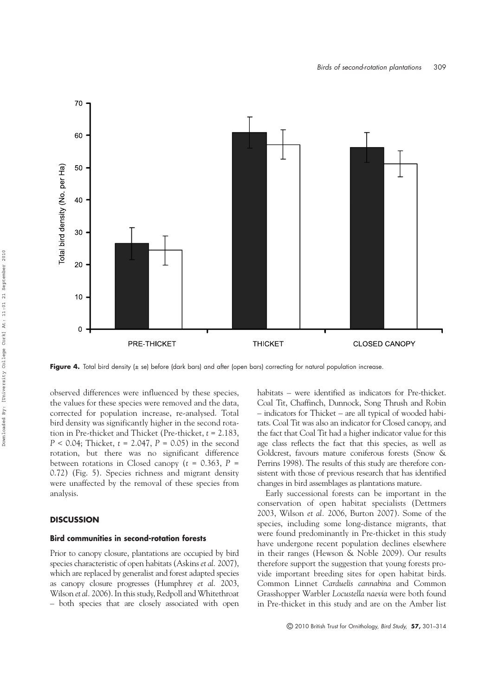

Figure 4. Total bird density (± se) before (dark bars) and after (open bars) correcting for natural population increase.

observed differences were influenced by these species, the values for these species were removed and the data, corrected for population increase, re-analysed. Total bird density was significantly higher in the second rotation in Pre-thicket and Thicket (Pre-thicket, *t* = 2.183, *P* < 0.04; Thicket, *t* = 2.047, *P* = 0.05) in the second rotation, but there was no significant difference between rotations in Closed canopy  $(t = 0.363, P =$ 0.72) (Fig. 5). Species richness and migrant density were unaffected by the removal of these species from analysis.

# **DISCUSSION**

## **Bird communities in second-rotation forests**

Prior to canopy closure, plantations are occupied by bird species characteristic of open habitats (Askins *et al.* 2007), which are replaced by generalist and forest adapted species as canopy closure progresses (Humphrey *et al.* 2003, Wilson *et al.* 2006). In this study, Redpoll and Whitethroat – both species that are closely associated with open

habitats – were identified as indicators for Pre-thicket. Coal Tit, Chaffinch, Dunnock, Song Thrush and Robin – indicators for Thicket – are all typical of wooded habitats. Coal Tit was also an indicator for Closed canopy, and the fact that Coal Tit had a higher indicator value for this age class reflects the fact that this species, as well as Goldcrest, favours mature coniferous forests (Snow & Perrins 1998). The results of this study are therefore consistent with those of previous research that has identified changes in bird assemblages as plantations mature.

Early successional forests can be important in the conservation of open habitat specialists (Dettmers 2003, Wilson *et al.* 2006, Burton 2007). Some of the species, including some long-distance migrants, that were found predominantly in Pre-thicket in this study have undergone recent population declines elsewhere in their ranges (Hewson & Noble 2009). Our results therefore support the suggestion that young forests provide important breeding sites for open habitat birds. Common Linnet *Carduelis cannabina* and Common Grasshopper Warbler *Locustella naevia* were both found in Pre-thicket in this study and are on the Amber list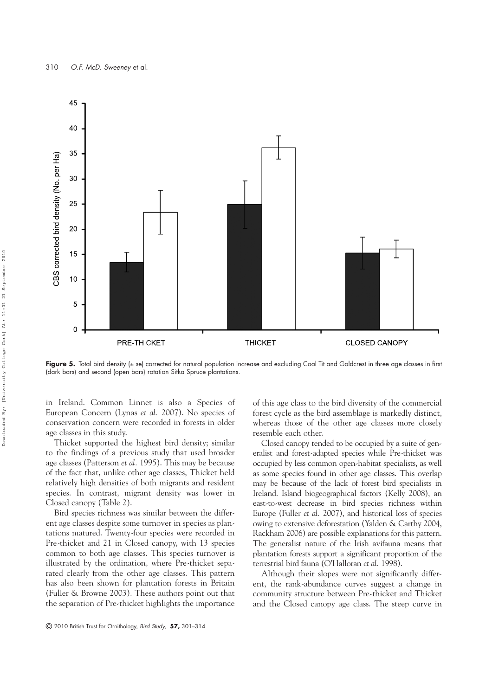

Figure 5. Total bird density (± se) corrected for natural population increase and excluding Coal Tit and Goldcrest in three age classes in first (dark bars) and second (open bars) rotation Sitka Spruce plantations.

in Ireland. Common Linnet is also a Species of European Concern (Lynas *et al.* 2007). No species of conservation concern were recorded in forests in older age classes in this study.

Thicket supported the highest bird density; similar to the findings of a previous study that used broader age classes (Patterson *et al.* 1995). This may be because of the fact that, unlike other age classes, Thicket held relatively high densities of both migrants and resident species. In contrast, migrant density was lower in Closed canopy (Table 2).

Bird species richness was similar between the different age classes despite some turnover in species as plantations matured. Twenty-four species were recorded in Pre-thicket and 21 in Closed canopy, with 13 species common to both age classes. This species turnover is illustrated by the ordination, where Pre-thicket separated clearly from the other age classes. This pattern has also been shown for plantation forests in Britain (Fuller & Browne 2003). These authors point out that the separation of Pre-thicket highlights the importance of this age class to the bird diversity of the commercial forest cycle as the bird assemblage is markedly distinct, whereas those of the other age classes more closely resemble each other.

Closed canopy tended to be occupied by a suite of generalist and forest-adapted species while Pre-thicket was occupied by less common open-habitat specialists, as well as some species found in other age classes. This overlap may be because of the lack of forest bird specialists in Ireland. Island biogeographical factors (Kelly 2008), an east-to-west decrease in bird species richness within Europe (Fuller *et al.* 2007), and historical loss of species owing to extensive deforestation (Yalden & Carthy 2004, Rackham 2006) are possible explanations for this pattern. The generalist nature of the Irish avifauna means that plantation forests support a significant proportion of the terrestrial bird fauna (O'Halloran *et al.* 1998).

Although their slopes were not significantly different, the rank-abundance curves suggest a change in community structure between Pre-thicket and Thicket and the Closed canopy age class. The steep curve in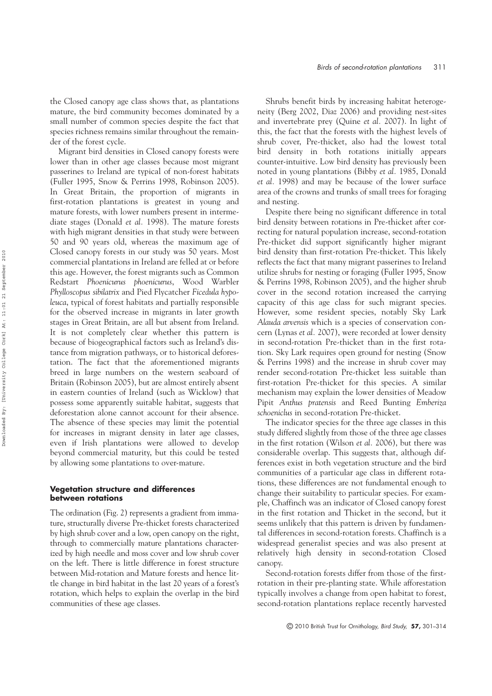2010

the Closed canopy age class shows that, as plantations mature, the bird community becomes dominated by a small number of common species despite the fact that species richness remains similar throughout the remainder of the forest cycle.

Migrant bird densities in Closed canopy forests were lower than in other age classes because most migrant passerines to Ireland are typical of non-forest habitats (Fuller 1995, Snow & Perrins 1998, Robinson 2005). In Great Britain, the proportion of migrants in first-rotation plantations is greatest in young and mature forests, with lower numbers present in intermediate stages (Donald *et al.* 1998). The mature forests with high migrant densities in that study were between 50 and 90 years old, whereas the maximum age of Closed canopy forests in our study was 50 years. Most commercial plantations in Ireland are felled at or before this age. However, the forest migrants such as Common Redstart *Phoenicurus phoenicurus*, Wood Warbler *Phylloscopus sibilatrix* and Pied Flycatcher *Ficedula hypoleuca*, typical of forest habitats and partially responsible for the observed increase in migrants in later growth stages in Great Britain, are all but absent from Ireland. It is not completely clear whether this pattern is because of biogeographical factors such as Ireland's distance from migration pathways, or to historical deforestation. The fact that the aforementioned migrants breed in large numbers on the western seaboard of Britain (Robinson 2005), but are almost entirely absent in eastern counties of Ireland (such as Wicklow) that possess some apparently suitable habitat, suggests that deforestation alone cannot account for their absence. The absence of these species may limit the potential for increases in migrant density in later age classes, even if Irish plantations were allowed to develop beyond commercial maturity, but this could be tested by allowing some plantations to over-mature.

#### **Vegetation structure and differences between rotations**

The ordination (Fig. 2) represents a gradient from immature, structurally diverse Pre-thicket forests characterized by high shrub cover and a low, open canopy on the right, through to commercially mature plantations characterized by high needle and moss cover and low shrub cover on the left. There is little difference in forest structure between Mid-rotation and Mature forests and hence little change in bird habitat in the last 20 years of a forest's rotation, which helps to explain the overlap in the bird communities of these age classes.

Shrubs benefit birds by increasing habitat heterogeneity (Berg 2002, Diaz 2006) and providing nest-sites and invertebrate prey (Quine *et al.* 2007). In light of this, the fact that the forests with the highest levels of shrub cover, Pre-thicket, also had the lowest total bird density in both rotations initially appears counter-intuitive. Low bird density has previously been noted in young plantations (Bibby *et al.* 1985, Donald *et al.* 1998) and may be because of the lower surface area of the crowns and trunks of small trees for foraging and nesting.

Despite there being no significant difference in total bird density between rotations in Pre-thicket after correcting for natural population increase, second-rotation Pre-thicket did support significantly higher migrant bird density than first-rotation Pre-thicket. This likely reflects the fact that many migrant passerines to Ireland utilize shrubs for nesting or foraging (Fuller 1995, Snow & Perrins 1998, Robinson 2005), and the higher shrub cover in the second rotation increased the carrying capacity of this age class for such migrant species. However, some resident species, notably Sky Lark *Alauda arvensis* which is a species of conservation concern (Lynas *et al.* 2007), were recorded at lower density in second-rotation Pre-thicket than in the first rotation. Sky Lark requires open ground for nesting (Snow & Perrins 1998) and the increase in shrub cover may render second-rotation Pre-thicket less suitable than first-rotation Pre-thicket for this species. A similar mechanism may explain the lower densities of Meadow Pipit *Anthus pratensis* and Reed Bunting *Emberiza schoeniclus* in second-rotation Pre-thicket.

The indicator species for the three age classes in this study differed slightly from those of the three age classes in the first rotation (Wilson *et al.* 2006), but there was considerable overlap. This suggests that, although differences exist in both vegetation structure and the bird communities of a particular age class in different rotations, these differences are not fundamental enough to change their suitability to particular species. For example, Chaffinch was an indicator of Closed canopy forest in the first rotation and Thicket in the second, but it seems unlikely that this pattern is driven by fundamental differences in second-rotation forests. Chaffinch is a widespread generalist species and was also present at relatively high density in second-rotation Closed canopy.

Second-rotation forests differ from those of the firstrotation in their pre-planting state. While afforestation typically involves a change from open habitat to forest, second-rotation plantations replace recently harvested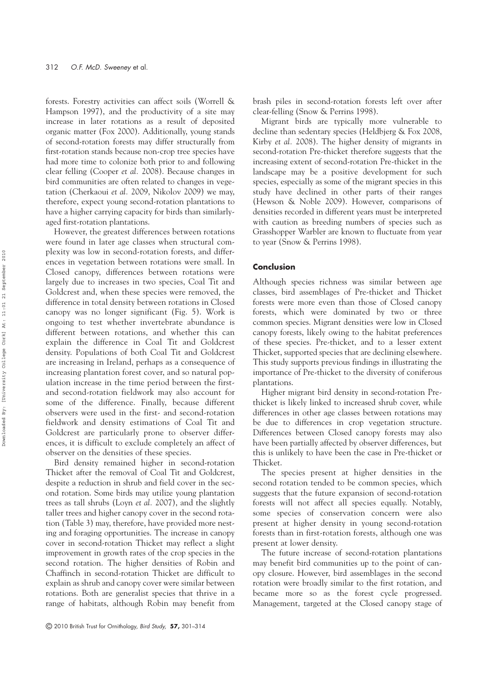forests. Forestry activities can affect soils (Worrell & Hampson 1997), and the productivity of a site may increase in later rotations as a result of deposited organic matter (Fox 2000). Additionally, young stands of second-rotation forests may differ structurally from first-rotation stands because non-crop tree species have had more time to colonize both prior to and following clear felling (Cooper *et al.* 2008). Because changes in bird communities are often related to changes in vegetation (Cherkaoui *et al.* 2009, Nikolov 2009) we may, therefore, expect young second-rotation plantations to have a higher carrying capacity for birds than similarlyaged first-rotation plantations.

However, the greatest differences between rotations were found in later age classes when structural complexity was low in second-rotation forests, and differences in vegetation between rotations were small. In Closed canopy, differences between rotations were largely due to increases in two species, Coal Tit and Goldcrest and, when these species were removed, the difference in total density between rotations in Closed canopy was no longer significant (Fig. 5). Work is ongoing to test whether invertebrate abundance is different between rotations, and whether this can explain the difference in Coal Tit and Goldcrest density. Populations of both Coal Tit and Goldcrest are increasing in Ireland, perhaps as a consequence of increasing plantation forest cover, and so natural population increase in the time period between the firstand second-rotation fieldwork may also account for some of the difference. Finally, because different observers were used in the first- and second-rotation fieldwork and density estimations of Coal Tit and Goldcrest are particularly prone to observer differences, it is difficult to exclude completely an affect of observer on the densities of these species.

Bird density remained higher in second-rotation Thicket after the removal of Coal Tit and Goldcrest, despite a reduction in shrub and field cover in the second rotation. Some birds may utilize young plantation trees as tall shrubs (Loyn *et al.* 2007), and the slightly taller trees and higher canopy cover in the second rotation (Table 3) may, therefore, have provided more nesting and foraging opportunities. The increase in canopy cover in second-rotation Thicket may reflect a slight improvement in growth rates of the crop species in the second rotation. The higher densities of Robin and Chaffinch in second-rotation Thicket are difficult to explain as shrub and canopy cover were similar between rotations. Both are generalist species that thrive in a range of habitats, although Robin may benefit from brash piles in second-rotation forests left over after clear-felling (Snow & Perrins 1998).

Migrant birds are typically more vulnerable to decline than sedentary species (Heldbjerg & Fox 2008, Kirby *et al.* 2008). The higher density of migrants in second-rotation Pre-thicket therefore suggests that the increasing extent of second-rotation Pre-thicket in the landscape may be a positive development for such species, especially as some of the migrant species in this study have declined in other parts of their ranges (Hewson & Noble 2009). However, comparisons of densities recorded in different years must be interpreted with caution as breeding numbers of species such as Grasshopper Warbler are known to fluctuate from year to year (Snow & Perrins 1998).

# **Conclusion**

Although species richness was similar between age classes, bird assemblages of Pre-thicket and Thicket forests were more even than those of Closed canopy forests, which were dominated by two or three common species. Migrant densities were low in Closed canopy forests, likely owing to the habitat preferences of these species. Pre-thicket, and to a lesser extent Thicket, supported species that are declining elsewhere. This study supports previous findings in illustrating the importance of Pre-thicket to the diversity of coniferous plantations.

Higher migrant bird density in second-rotation Prethicket is likely linked to increased shrub cover, while differences in other age classes between rotations may be due to differences in crop vegetation structure. Differences between Closed canopy forests may also have been partially affected by observer differences, but this is unlikely to have been the case in Pre-thicket or Thicket.

The species present at higher densities in the second rotation tended to be common species, which suggests that the future expansion of second-rotation forests will not affect all species equally. Notably, some species of conservation concern were also present at higher density in young second-rotation forests than in first-rotation forests, although one was present at lower density.

The future increase of second-rotation plantations may benefit bird communities up to the point of canopy closure. However, bird assemblages in the second rotation were broadly similar to the first rotation, and became more so as the forest cycle progressed. Management, targeted at the Closed canopy stage of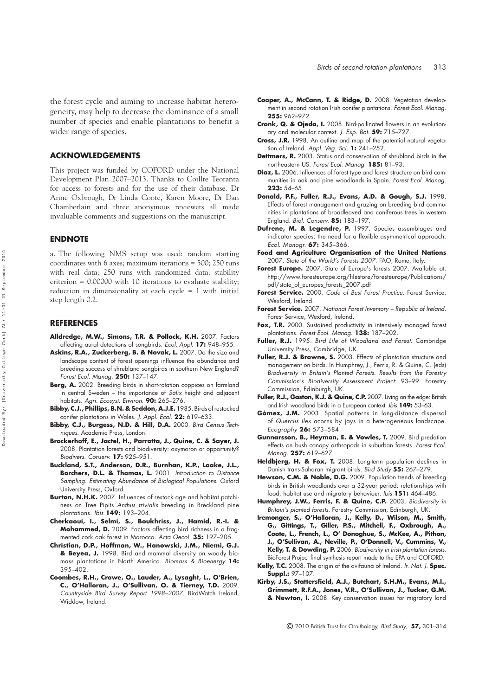#### **ACKNOWLEDGEMENTS**

wider range of species.

This project was funded by COFORD under the National Development Plan 2007–2013. Thanks to Coillte Teoranta for access to forests and for the use of their database. Dr Anne Oxbrough, Dr Linda Coote, Karen Moore, Dr Dan Chamberlain and three anonymous reviewers all made invaluable comments and suggestions on the manuscript.

#### **ENDNOTE**

a. The following NMS setup was used: random starting coordinates with 6 axes; maximum iterations = 500; 250 runs with real data; 250 runs with randomized data; stability criterion = 0.00000 with 10 iterations to evaluate stability; reduction in dimensionality at each cycle = 1 with initial step length 0.2.

### **REFERENCES**

- **Alldredge, M.W., Simons, T.R. & Pollock, K.H.** 2007. Factors affecting aural detections of songbirds. Ecol. Appl. **17:** 948–955.
- **Askins, R.A., Zuckerberg, B. & Novak, L.** 2007. Do the size and landscape context of forest openings influence the abundance and breeding success of shrubland songbirds in southern New England? Forest Ecol. Manag. **250:** 137–147.
- Berg, A. 2002. Breeding birds in short-rotation coppices on farmland in central Sweden – the importance of Salix height and adjacent habitats. Agri. Ecosyst. Environ. **90:** 265–276.
- **Bibby, C.J., Phillips, B.N. & Seddon, A.J.E.** 1985. Birds of restocked conifer plantations in Wales. J. Appl. Ecol. **22:** 619–633.
- **Bibby, C.J., Burgess, N.D. & Hill, D.A.** 2000. Bird Census Techniques. Academic Press, London.
- **Brockerhoff, E., Jactel, H., Parrotta, J., Quine, C. & Sayer, J.** 2008. Plantation forests and biodiversity: oxymoron or opportunity? Biodivers. Conserv. **17:** 925–951.
- **Buckland, S.T., Anderson, D.R., Burnhan, K.P., Laake, J.L.,**  Borchers, D.L. & Thomas, L. 2001. Introduction to Distance Sampling. Estimating Abundance of Biological Populations. Oxford University Press, Oxford.
- **Burton, N.H.K.** 2007. Influences of restock age and habitat patchiness on Tree Pipits Anthus trivialis breeding in Breckland pine plantations. Ibis **149:** 193–204.
- **Cherkaoui, I., Selmi, S., Boukhriss, J., Hamid, R.-I. & Mohammed, D.** 2009. Factors affecting bird richness in a fragmented cork oak forest in Morocco. Acta Oecol. **35:** 197–205.
- **Christian, D.P., Hoffman, W., Hanowski, J.M., Niemi, G.J. & Beyea, J.** 1998. Bird and mammal diversity on woody biomass plantations in North America. Biomass & Bioenergy **14:** 395–402.
- **Coombes, R.H., Crowe, O., Lauder, A., Lysaght, L., O'Brien, C., O'Halloran, J., O'Sullivan, O. & Tierney, T.D.** 2009. Countryside Bird Survey Report 1998–2007. BirdWatch Ireland, Wicklow, Ireland.
- **Cooper, A., McCann, T. & Ridge, D.** 2008. Vegetation development in second rotation Irish conifer plantations. Forest Ecol. Manag. **255:** 962–972.
- **Cronk, Q. & Ojeda, I.** 2008. Bird-pollinated flowers in an evolutionary and molecular context. J. Exp. Bot. **59:** 715–727.
- **Cross, J.R.** 1998. An outline and map of the potential natural vegetation of Ireland. Appl. Veg. Sci. **1:** 241–252.
- Dettmers, R. 2003. Status and conservation of shrubland birds in the northeastern US. Forest Ecol. Manag. **185:** 81–93.
- **Diaz, L.** 2006. Influences of forest type and forest structure on bird communities in oak and pine woodlands in Spain. Forest Ecol. Manag. **223:** 54–65.
- **Donald, P.F., Fuller, R.J., Evans, A.D. & Gough, S.J.** 1998. Effects of forest management and grazing on breeding bird communities in plantations of broadleaved and coniferous trees in western England. Biol. Conserv. **85:** 183–197.
- **Dufrene, M. & Legendre, P.** 1997. Species assemblages and indicator species: the need for a flexible asymmetrical approach. Ecol. Monogr. **67:** 345–366.
- **Food and Agriculture Organisation of the United Nations** 2007. State of the World's Forests 2007. FAO, Rome, Italy.
- Forest Europe. 2007. State of Europe's forests 2007. Available at: http://www.foresteurope.org/fi lestore/foresteurope/Publications/ pdf/state\_of\_europes\_forests\_2007.pdf
- Forest Service. 2000. Code of Best Forest Practice. Forest Service, Wexford, Ireland.
- **Forest Service.** 2007. National Forest Inventory Republic of Ireland. Forest Service, Wexford, Ireland.
- Fox, T.R. 2000. Sustained productivity in intensively managed forest plantations. Forest Ecol. Manag. **138:** 187–202.
- Fuller, R.J. 1995. Bird Life of Woodland and Forest. Cambridge University Press, Cambridge, UK.
- Fuller, R.J. & Browne, S. 2003. Effects of plantation structure and management on birds. In Humphrey, J., Ferris, R. & Quine, C. (eds) Biodiversity in Britain's Planted Forests. Results from the Forestry Commission's Biodiversity Assessment Project: 93–99. Forestry Commission, Edinburgh, UK.
- **Fuller, R.J., Gaston, K.J. & Quine, C.P.** 2007. Living on the edge: British and Irish woodland birds in a European context. Ibis **149:** 53–63.
- **Gómez, J.M.** 2003. Spatial patterns in long-distance dispersal of Quercus ilex acorns by jays in a heterogeneous landscape. Ecography **26:** 573–584.
- **Gunnarsson, B., Heyman, E. & Vowles, T.** 2009. Bird predation effects on bush canopy arthropods in suburban forests. Forest Ecol. Manag. **257:** 619–627.
- Heldbjerg, H. & Fox, T. 2008. Long-term population declines in Danish trans-Saharan migrant birds. Bird Study **55:** 267–279.
- **Hewson, C.M. & Noble, D.G.** 2009. Population trends of breeding birds in British woodlands over a 32-year period: relationships with food, habitat use and migratory behaviour. Ibis **151:** 464–486.
- **Humphrey, J.W., Ferris, F. & Quine, C.P.** 2003. Biodiversity in Britain's planted forests. Forestry Commission, Edinburgh, UK.
- **Iremonger, S., O'Halloran, J., Kelly, D., Wilson, M., Smith, G., Gittings, T., Giller, P.S., Mitchell, F., Oxbrough, A., Coote, L., French, L., O' Donoghue, S., McKee, A., Pithon, J., O'Sullivan, A., Neville, P., O'Donnell, V., Cummins, V., Kelly, T. & Dowding, P.** 2006. Biodiversity in Irish plantation forests. BioForest Project final synthesis report made to the EPA and COFORD.
- **Kelly, T.C.** 2008. The origin of the avifauna of Ireland. Ir. Nat. J. **Spec. Suppl.:** 97–107.
- Kirby, J.S., Stattersfield, A.J., Butchart, S.H.M., Evans, M.I., **Grimmett, R.F.A., Jones, V.R., O'Sullivan, J., Tucker, G.M. & Newton, I.** 2008. Key conservation issues for migratory land

© 2010 British Trust for Ornithology, Bird Study, **57,** 301–314